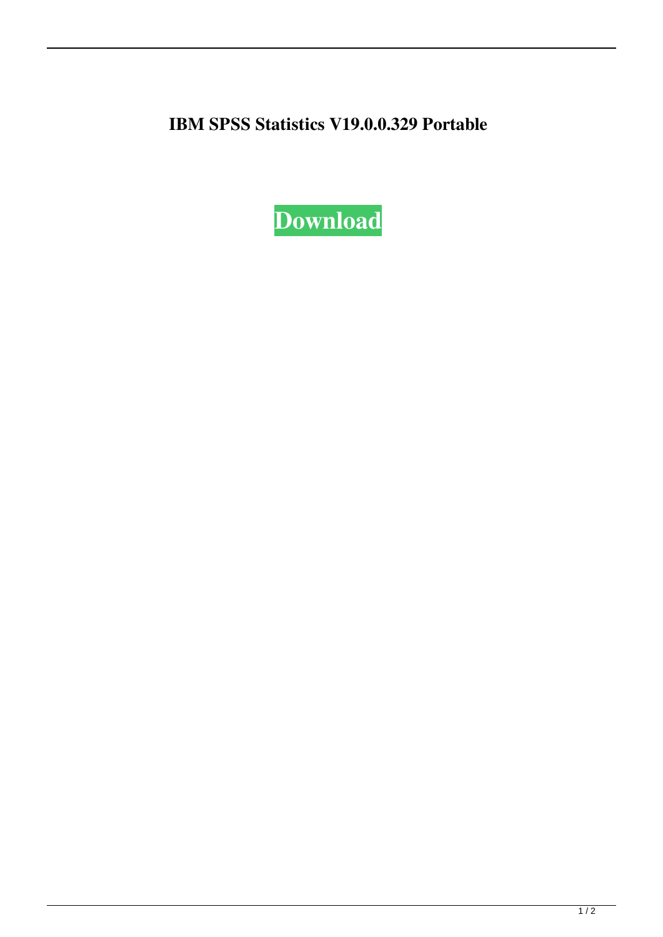**IBM SPSS Statistics V19.0.0.329 Portable**